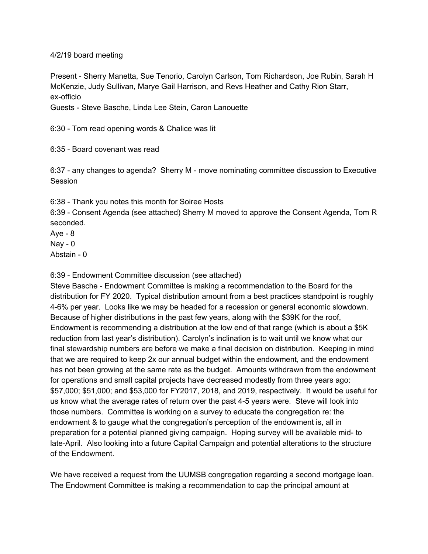4/2/19 board meeting

Present - Sherry Manetta, Sue Tenorio, Carolyn Carlson, Tom Richardson, Joe Rubin, Sarah H McKenzie, Judy Sullivan, Marye Gail Harrison, and Revs Heather and Cathy Rion Starr, ex-officio

Guests - Steve Basche, Linda Lee Stein, Caron Lanouette

6:30 - Tom read opening words & Chalice was lit

6:35 - Board covenant was read

6:37 - any changes to agenda? Sherry M - move nominating committee discussion to Executive Session

6:38 - Thank you notes this month for Soiree Hosts

6:39 - Consent Agenda (see attached) Sherry M moved to approve the Consent Agenda, Tom R seconded.

 $Aye - 8$  $\text{Nav} - 0$ 

Abstain - 0

6:39 - Endowment Committee discussion (see attached)

Steve Basche - Endowment Committee is making a recommendation to the Board for the distribution for FY 2020. Typical distribution amount from a best practices standpoint is roughly 4-6% per year. Looks like we may be headed for a recession or general economic slowdown. Because of higher distributions in the past few years, along with the \$39K for the roof, Endowment is recommending a distribution at the low end of that range (which is about a \$5K reduction from last year's distribution). Carolyn's inclination is to wait until we know what our final stewardship numbers are before we make a final decision on distribution. Keeping in mind that we are required to keep 2x our annual budget within the endowment, and the endowment has not been growing at the same rate as the budget. Amounts withdrawn from the endowment for operations and small capital projects have decreased modestly from three years ago: \$57,000; \$51,000; and \$53,000 for FY2017, 2018, and 2019, respectively. It would be useful for us know what the average rates of return over the past 4-5 years were. Steve will look into those numbers. Committee is working on a survey to educate the congregation re: the endowment & to gauge what the congregation's perception of the endowment is, all in preparation for a potential planned giving campaign. Hoping survey will be available mid- to late-April. Also looking into a future Capital Campaign and potential alterations to the structure of the Endowment.

We have received a request from the UUMSB congregation regarding a second mortgage loan. The Endowment Committee is making a recommendation to cap the principal amount at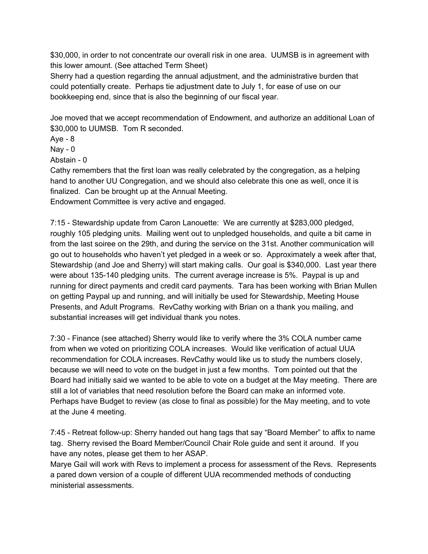\$30,000, in order to not concentrate our overall risk in one area. UUMSB is in agreement with this lower amount. (See attached Term Sheet)

Sherry had a question regarding the annual adjustment, and the administrative burden that could potentially create. Perhaps tie adjustment date to July 1, for ease of use on our bookkeeping end, since that is also the beginning of our fiscal year.

Joe moved that we accept recommendation of Endowment, and authorize an additional Loan of \$30,000 to UUMSB. Tom R seconded.

Aye - 8

 $Nay - 0$ 

Abstain - 0

Cathy remembers that the first loan was really celebrated by the congregation, as a helping hand to another UU Congregation, and we should also celebrate this one as well, once it is finalized. Can be brought up at the Annual Meeting.

Endowment Committee is very active and engaged.

7:15 - Stewardship update from Caron Lanouette: We are currently at \$283,000 pledged, roughly 105 pledging units. Mailing went out to unpledged households, and quite a bit came in from the last soiree on the 29th, and during the service on the 31st. Another communication will go out to households who haven't yet pledged in a week or so. Approximately a week after that, Stewardship (and Joe and Sherry) will start making calls. Our goal is \$340,000. Last year there were about 135-140 pledging units. The current average increase is 5%. Paypal is up and running for direct payments and credit card payments. Tara has been working with Brian Mullen on getting Paypal up and running, and will initially be used for Stewardship, Meeting House Presents, and Adult Programs. RevCathy working with Brian on a thank you mailing, and substantial increases will get individual thank you notes.

7:30 - Finance (see attached) Sherry would like to verify where the 3% COLA number came from when we voted on prioritizing COLA increases. Would like verification of actual UUA recommendation for COLA increases. RevCathy would like us to study the numbers closely, because we will need to vote on the budget in just a few months. Tom pointed out that the Board had initially said we wanted to be able to vote on a budget at the May meeting. There are still a lot of variables that need resolution before the Board can make an informed vote. Perhaps have Budget to review (as close to final as possible) for the May meeting, and to vote at the June 4 meeting.

7:45 - Retreat follow-up: Sherry handed out hang tags that say "Board Member" to affix to name tag. Sherry revised the Board Member/Council Chair Role guide and sent it around. If you have any notes, please get them to her ASAP.

Marye Gail will work with Revs to implement a process for assessment of the Revs. Represents a pared down version of a couple of different UUA recommended methods of conducting ministerial assessments.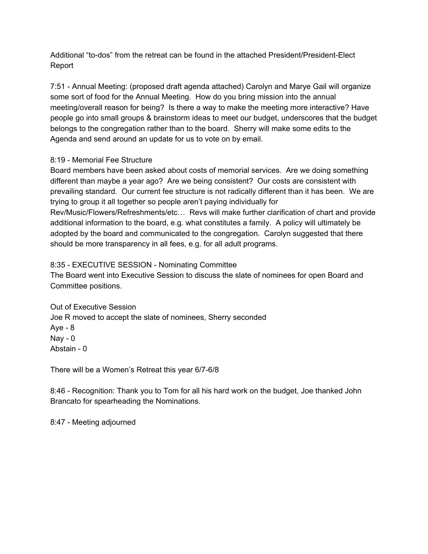Additional "to-dos" from the retreat can be found in the attached President/President-Elect Report

7:51 - Annual Meeting: (proposed draft agenda attached) Carolyn and Marye Gail will organize some sort of food for the Annual Meeting. How do you bring mission into the annual meeting/overall reason for being? Is there a way to make the meeting more interactive? Have people go into small groups & brainstorm ideas to meet our budget, underscores that the budget belongs to the congregation rather than to the board. Sherry will make some edits to the Agenda and send around an update for us to vote on by email.

## 8:19 - Memorial Fee Structure

Board members have been asked about costs of memorial services. Are we doing something different than maybe a year ago? Are we being consistent? Our costs are consistent with prevailing standard. Our current fee structure is not radically different than it has been. We are trying to group it all together so people aren't paying individually for Rev/Music/Flowers/Refreshments/etc… Revs will make further clarification of chart and provide additional information to the board, e.g. what constitutes a family. A policy will ultimately be adopted by the board and communicated to the congregation. Carolyn suggested that there should be more transparency in all fees, e.g. for all adult programs.

## 8:35 - EXECUTIVE SESSION - Nominating Committee

The Board went into Executive Session to discuss the slate of nominees for open Board and Committee positions.

Out of Executive Session Joe R moved to accept the slate of nominees, Sherry seconded  $Aye - 8$  $Nay - 0$ Abstain - 0

There will be a Women's Retreat this year 6/7-6/8

8:46 - Recognition: Thank you to Tom for all his hard work on the budget, Joe thanked John Brancato for spearheading the Nominations.

8:47 - Meeting adjourned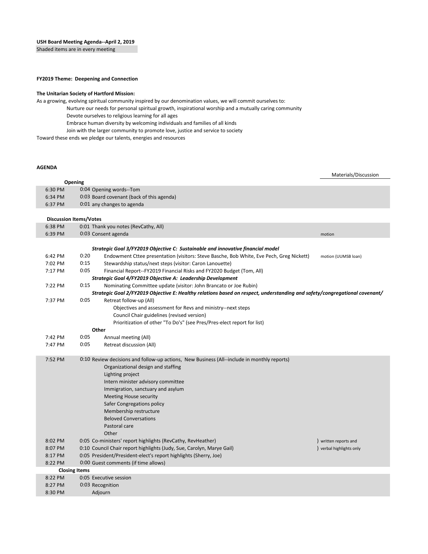Shaded items are in every meeting

#### **FY2019 Theme: Deepening and Connection**

#### **The Unitarian Society of Hartford Mission:**

As a growing, evolving spiritual community inspired by our denomination values, we will commit ourselves to:

- Nurture our needs for personal spiritual growth, inspirational worship and a mutually caring community Devote ourselves to religious learning for all ages
	- Embrace human diversity by welcoming individuals and families of all kinds
	- Join with the larger community to promote love, justice and service to society

Toward these ends we pledge our talents, energies and resources

#### **AGENDA**

6:30 PM 0:04 Opening words--Tom 6:34 PM 0:03 Board covenant (back of this agenda) 6:37 PM 0:01 any changes to agenda 6:38 PM 0:01 Thank you notes (RevCathy, All) 6:39 PM 0:03 Consent agenda motion *Strategic Goal 3/FY2019 Objective C: Sustainable and innovative financial model* 6:42 PM 0:20 Endowment Cttee presentation (visitors: Steve Basche, Bob White, Eve Pech, Greg Nickett) motion (UUMSB loan) 7:02 PM 0:15 Stewardship status/next steps (visitor: Caron Lanouette) 7:17 PM 0:05 Financial Report--FY2019 Financial Risks and FY2020 Budget (Tom, All) *Strategic Goal 4/FY2019 Objective A: Leadership Development* 7:22 PM 0:15 Nominating Committee update (visitor: John Brancato or Joe Rubin) *Strategic Goal 2/FY2019 Objective E: Healthy relations based on respect, understanding and safety/congregational covenant/* 7:37 PM 0:05 Retreat follow-up (All) Objectives and assessment for Revs and ministry--next steps Council Chair guidelines (revised version) Prioritization of other "To Do's" (see Pres/Pres-elect report for list) **Other** 7:42 PM 0:05 Annual meeting (All) 7:47 PM 0:05 Retreat discussion (All) 7:52 PM 0:10 Review decisions and follow-up actions, New Business (All--include in monthly reports) Organizational design and staffing Lighting project Intern minister advisory committee Immigration, sanctuary and asylum Meeting House security Safer Congregations policy Membership restructure Beloved Conversations Pastoral care **Other** 8:02 PM 0:05 Co-ministers' report highlights (RevCathy, RevHeather) and the state of the state of the state of the state of the state of the state of the state of the state of the state of the state of the state of the sta 8:07 PM 0:10 Council Chair report highlights (Judy, Sue, Carolyn, Marye Gail) (30 Decrement of the United States only 8:17 PM 0:05 President/President-elect's report highlights (Sherry, Joe) 8:22 PM 0:00 Guest comments (if time allows) 8:22 PM 0:05 Executive session 8:27 PM 0:03 Recognition 8:30 PM Adjourn **Discussion Items/Votes** Materials/Discussion **Closing Items Opening**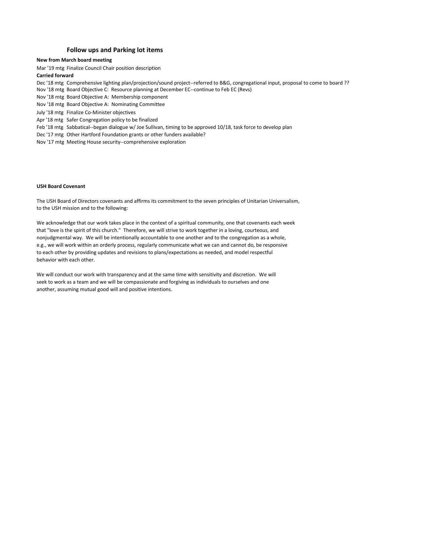#### **Follow ups and Parking lot items**

#### **New from March board meeting**

Mar '19 mtg Finalize Council Chair position description

#### **Carried forward**

Dec '18 mtg Comprehensive lighting plan/projection/sound project--referred to B&G, congregational input, proposal to come to board ??

- Nov '18 mtg Board Objective C: Resource planning at December EC--continue to Feb EC (Revs)
- Nov '18 mtg Board Objective A: Membership component
- Nov '18 mtg Board Objective A: Nominating Committee
- July '18 mtg Finalize Co-Minister objectives
- Apr '18 mtg Safer Congregation policy to be finalized
- Feb '18 mtg Sabbatical--began dialogue w/ Joe Sullivan, timing to be approved 10/18, task force to develop plan
- Dec '17 mtg Other Hartford Foundation grants or other funders available?
- Nov '17 mtg Meeting House security--comprehensive exploration

#### **USH Board Covenant**

The USH Board of Directors covenants and affirms its commitment to the seven principles of Unitarian Universalism, to the USH mission and to the following:

We acknowledge that our work takes place in the context of a spiritual community, one that covenants each week that "love is the spirit of this church." Therefore, we will strive to work together in a loving, courteous, and nonjudgmental way. We will be intentionally accountable to one another and to the congregation as a whole, e.g., we will work within an orderly process, regularly communicate what we can and cannot do, be responsive to each other by providing updates and revisions to plans/expectations as needed, and model respectful behavior with each other.

We will conduct our work with transparency and at the same time with sensitivity and discretion. We will seek to work as a team and we will be compassionate and forgiving as individuals to ourselves and one another, assuming mutual good will and positive intentions.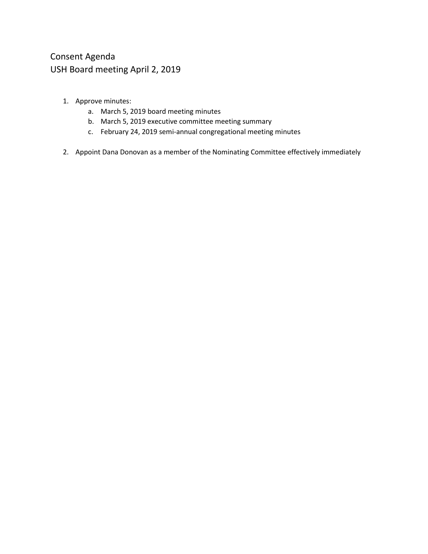# Consent Agenda USH Board meeting April 2, 2019

- 1. Approve minutes:
	- a. March 5, 2019 board meeting minutes
	- b. March 5, 2019 executive committee meeting summary
	- c. February 24, 2019 semi-annual congregational meeting minutes
- 2. Appoint Dana Donovan as a member of the Nominating Committee effectively immediately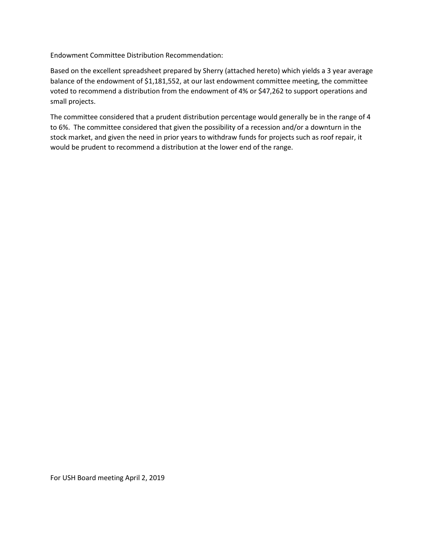Endowment Committee Distribution Recommendation:

Based on the excellent spreadsheet prepared by Sherry (attached hereto) which yields a 3 year average balance of the endowment of \$1,181,552, at our last endowment committee meeting, the committee voted to recommend a distribution from the endowment of 4% or \$47,262 to support operations and small projects.

The committee considered that a prudent distribution percentage would generally be in the range of 4 to 6%. The committee considered that given the possibility of a recession and/or a downturn in the stock market, and given the need in prior years to withdraw funds for projects such as roof repair, it would be prudent to recommend a distribution at the lower end of the range.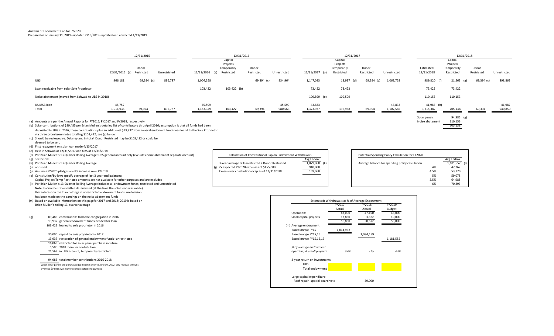#### Analysis of Endowment Cap for FY2020

#### Prepared as of January 11, 2019--updated 2/13/2019--updated and corrected 4/13/2019

|                                                    | 12/31/2015                |            |              | 12/31/2016     |             |            | 12/31/2017          |                |             | 12/31/2018 |              |                |               |            |              |
|----------------------------------------------------|---------------------------|------------|--------------|----------------|-------------|------------|---------------------|----------------|-------------|------------|--------------|----------------|---------------|------------|--------------|
|                                                    |                           |            |              | Capital        |             |            | Capital<br>Projects |                |             | Capital    |              |                |               |            |              |
|                                                    |                           |            |              | Projects       |             |            |                     |                |             | Projects   |              |                |               |            |              |
|                                                    |                           | Donor      |              |                | Temporarily | Donor      |                     |                | Temporarily | Donor      |              | Estimated      | Temporarily   | Donor      |              |
|                                                    | 12/31/2015 (a) Restricted |            | Unrestricted | 12/31/2016 (a) | Restricted  | Restricted | Unrestricted        | 12/31/2017 (a) | Restricted  | Restricted | Unrestricted | 12/31/2018     | Restricted    | Restricted | Unrestricted |
| <b>UBS</b>                                         | 966,181                   | 69,394 (c) | 896,787      | 1,004,358      |             | 69,394 (c) | 934,964             | 1,147,083      | 13,937 (d)  | 69,394 (c) | 1,063,752    | 989,820<br>(f) | 21,563<br>(g) | 69,394 (c) | 898,863      |
| Loan receivable from solar Sole Proprietor         |                           |            |              | 103,422        | 103,422 (b) |            |                     | 73,422         | 73,422      |            |              | 73,422         | 73,422        |            |              |
| Noise abatement (moved from Schwab to UBS in 2018) |                           |            |              |                |             |            |                     | 109,599 (e)    | 109,599     |            |              | 110,153        | 110,153       |            |              |
| UUMSB loan                                         | 48,757                    |            |              | 45,599         |             |            | 45,599              | 43,833         |             |            | 43,833       | 41,987 (h)     |               |            | 41,987       |
| Total                                              | 1,014,938                 | 69,394     | 896,787      | 1,153,379      | 103,422     | 69,39      | 980,563             | $-1,373,937$   | 196,958     | 69,394     | 1,107,585    | 1,215,382      | 205,138       | 69,394     | 940,850      |

(a) Amounts are per the Annual Reports for FY2016, FY2017 and FY2018, respectively expectively and FY2018, respectively expertively and FY2018, respectively and FY2018, respectively and FY2018, respectively and EQ16: assum (b) Solar contributions of \$89,485 per Brian Mullen's detailed list of contributors thru April 2016; assumption is that all funds had been deposited to UBS in 2016; these contributions plus an additional \$13,937 from general endoment funds was loand to the Sole Proprietor via three promissory notes totalling \$103,422; see (g) below

(c) Should be reviewed re: Delaney and in total; Donor Restricted may be \$103,422 or could be

deemed to be zero

(d) First repayment on solar loan made 4/13/2017

(e) Held in Schwab at 12/31/2017 and UBS at 12/31/2018

Capital Project Temp Restricted amounts are not available for other purposes and are excluded (I) Per Brian Mullen's 13-Quarter Rolling Average; includes all endowment funds, restricted and unrestricted

Note: Endowment Committee determined (at the time the solar loan was made) that interest on the loan belongs in unrestricted endowment funds; no decision has been made on the earnings on the noise abatement funds

(m) Based on available information on this pagefor 2017 and 2018; 2019 is based on

103,422 loaned to sole proprietor in 2016 (m) Average endowment

- 
- 16,063 restricted for solar panel purchase in future
- 
- 

When solar panels are purchased (sometime prior to June 30, 2022) any residual amount UBS<br>
When solar panels are purchased (sometime prior to June 30, 2022) any residual amount over the \$94,985 will move to unrestricted endowment Total endowment

- (h) Per Brian Mullen's 13-Quarter Rolling Average 3-Year average of Unrestricted + Donor Restricted 1,079,060 (k) Average of Unrestricted + Donor Restricted 1,079,060 (k) Average balance for spending policy calculation 1,0 2x expected FY2020 expenses of \$455,000
- (j) Assumes FY2020 pledges are 8% increase over FY2019 **EXCESS** over constitutional cap as of 12/31/2018 **169,060**

| (e) Held in Schwab at 12/31/2017 and UBS at 12/31/2018                                                                 |                                                            |                 |                                                  |           |               |
|------------------------------------------------------------------------------------------------------------------------|------------------------------------------------------------|-----------------|--------------------------------------------------|-----------|---------------|
| f) Per Brian Mullen's 13-Quarter Rolling Average; UBS general account only (excludes noise abatement separate account) | Calculation of Constitutional Cap on Endowment Withdrawals |                 | Potential Spending Policy Calculation for FY2020 |           |               |
| (g) see below                                                                                                          |                                                            | Avg Endow       |                                                  | Avg Endow |               |
| (h) Per Brian Mullen's 13-Quarter Rolling Average                                                                      | 3-Year average of Unrestricted + Donor Restricted          | $1,079,060$ (k) | Average balance for spending policy calculation  |           | $1,181,552$ ( |
| (i) not used                                                                                                           | (i) 2x expected FY2020 expenses of \$455,000               | 910,000         |                                                  |           | 47.262        |
| ) Assumes FY2020 pledges are 8% increase over FY2019                                                                   | Excess over constiutional cap as of 12/31/2018             | 169,060         |                                                  |           | 53,170        |
| (k) Constitution/by-laws specify average of last 3 year-end balances;                                                  |                                                            |                 |                                                  |           | 59,078        |
| Capital Project Temp Restricted amounts are not available for other purposes and are excluded                          |                                                            |                 |                                                  |           | 64.985        |
| (I) Der Brian Mullen's 13-Quarter Polling Average: includes all endowment funds, restricted and unrestricted           |                                                            |                 |                                                  |           | 70.893        |

Solar panels 94,985 (g)<br>Noise abatement 110,153

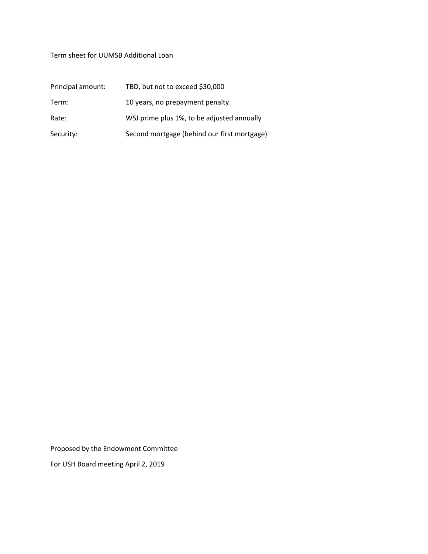## Term sheet for UUMSB Additional Loan

| Principal amount: | TBD, but not to exceed \$30,000             |
|-------------------|---------------------------------------------|
| Term:             | 10 years, no prepayment penalty.            |
| Rate:             | WSJ prime plus 1%, to be adjusted annually  |
| Security:         | Second mortgage (behind our first mortgage) |

Proposed by the Endowment Committee

For USH Board meeting April 2, 2019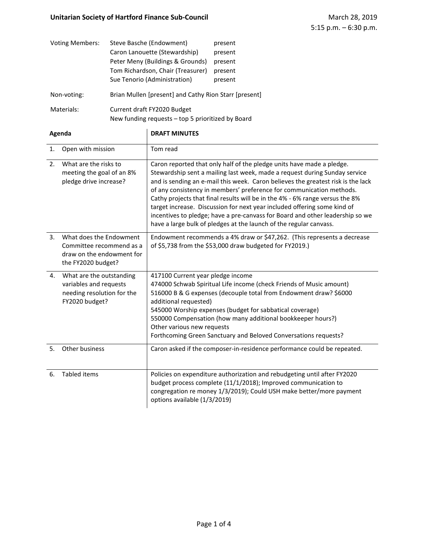## **Unitarian Society of Hartford Finance Sub-Council March 28, 2019** March 28, 2019

| <b>Voting Members:</b> | Steve Basche (Endowment)<br>Caron Lanouette (Stewardship)<br>Peter Meny (Buildings & Grounds)<br>Tom Richardson, Chair (Treasurer)<br>Sue Tenorio (Administration) | present<br>present<br>present<br>present<br>present |  |  |  |
|------------------------|--------------------------------------------------------------------------------------------------------------------------------------------------------------------|-----------------------------------------------------|--|--|--|
| Non-voting:            | Brian Mullen [present] and Cathy Rion Starr [present]                                                                                                              |                                                     |  |  |  |
| Materials:             | Current draft FY2020 Budget<br>New funding requests - top 5 prioritized by Board                                                                                   |                                                     |  |  |  |

| Agenda         |                                                                                                        | <b>DRAFT MINUTES</b>                                                                                                                                                                                                                                                                                                                                                                                                                                                                                                                                                                                                               |  |  |  |  |  |
|----------------|--------------------------------------------------------------------------------------------------------|------------------------------------------------------------------------------------------------------------------------------------------------------------------------------------------------------------------------------------------------------------------------------------------------------------------------------------------------------------------------------------------------------------------------------------------------------------------------------------------------------------------------------------------------------------------------------------------------------------------------------------|--|--|--|--|--|
| 1.             | Open with mission                                                                                      | Tom read                                                                                                                                                                                                                                                                                                                                                                                                                                                                                                                                                                                                                           |  |  |  |  |  |
| 2 <sub>1</sub> | What are the risks to<br>meeting the goal of an 8%<br>pledge drive increase?                           | Caron reported that only half of the pledge units have made a pledge.<br>Stewardship sent a mailing last week, made a request during Sunday service<br>and is sending an e-mail this week. Caron believes the greatest risk is the lack<br>of any consistency in members' preference for communication methods.<br>Cathy projects that final results will be in the 4% - 6% range versus the 8%<br>target increase. Discussion for next year included offering some kind of<br>incentives to pledge; have a pre-canvass for Board and other leadership so we<br>have a large bulk of pledges at the launch of the regular canvass. |  |  |  |  |  |
| 3 <sub>1</sub> | What does the Endowment<br>Committee recommend as a<br>draw on the endowment for<br>the FY2020 budget? | Endowment recommends a 4% draw or \$47,262. (This represents a decrease<br>of \$5,738 from the \$53,000 draw budgeted for FY2019.)                                                                                                                                                                                                                                                                                                                                                                                                                                                                                                 |  |  |  |  |  |
| 4.             | What are the outstanding<br>variables and requests<br>needing resolution for the<br>FY2020 budget?     | 417100 Current year pledge income<br>474000 Schwab Spiritual Life income (check Friends of Music amount)<br>516000 B & G expenses (decouple total from Endowment draw? \$6000<br>additional requested)<br>545000 Worship expenses (budget for sabbatical coverage)<br>550000 Compensation (how many additional bookkeeper hours?)<br>Other various new requests<br>Forthcoming Green Sanctuary and Beloved Conversations requests?                                                                                                                                                                                                 |  |  |  |  |  |
| 5.             | Other business                                                                                         | Caron asked if the composer-in-residence performance could be repeated.                                                                                                                                                                                                                                                                                                                                                                                                                                                                                                                                                            |  |  |  |  |  |
| 6.             | <b>Tabled items</b>                                                                                    | Policies on expenditure authorization and rebudgeting until after FY2020<br>budget process complete (11/1/2018); Improved communication to<br>congregation re money 1/3/2019); Could USH make better/more payment<br>options available (1/3/2019)                                                                                                                                                                                                                                                                                                                                                                                  |  |  |  |  |  |

## Page 1 of 4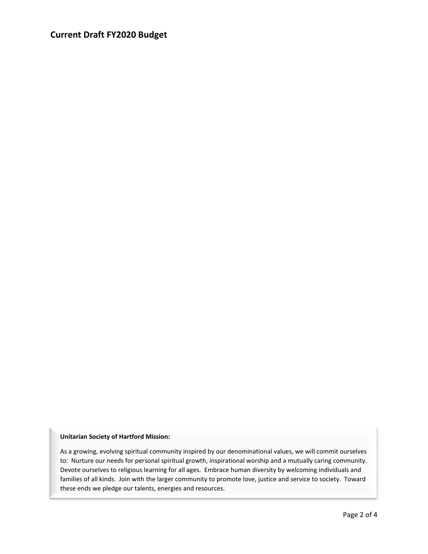## **Current Draft FY2020 Budget**

#### **Unitarian Society of Hartford Mission:**

As a growing, evolving spiritual community inspired by our denominational values, we will commit ourselves to: Nurture our needs for personal spiritual growth, inspirational worship and a mutually caring community. Devote ourselves to religious learning for all ages. Embrace human diversity by welcoming individuals and families of all kinds. Join with the larger community to promote love, justice and service to society. Toward these ends we pledge our talents, energies and resources.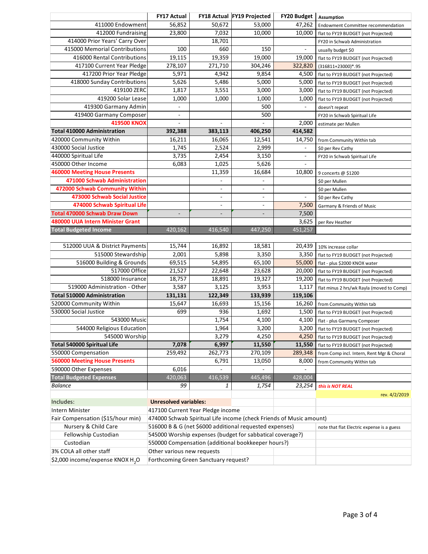|                                                               | <b>FY17 Actual</b>                                                  |                          | FY18 Actual FY19 Projected                 | <b>FY20 Budget</b>       | Assumption                                                                       |
|---------------------------------------------------------------|---------------------------------------------------------------------|--------------------------|--------------------------------------------|--------------------------|----------------------------------------------------------------------------------|
| 411000 Endowment                                              | 56,852                                                              | 50,672                   | 53,000                                     | 47,262                   | <b>Endowment Committee recommendation</b>                                        |
| 412000 Fundraising                                            | 23,800                                                              | 7,032                    | 10,000                                     | 10,000                   | flat to FY19 BUDGET (not Projected)                                              |
| 414000 Prior Years' Carry Over                                |                                                                     | 18,701                   |                                            |                          | FY20 in Schwab Administration                                                    |
| 415000 Memorial Contributions                                 | 100                                                                 | 660                      | 150                                        | ÷,                       | usually budget \$0                                                               |
| 416000 Rental Contributions                                   | 19,115                                                              | 19,359                   | 19,000                                     | 19,000                   | flat to FY19 BUDGET (not Projected)                                              |
| 417100 Current Year Pledge                                    | 278,107                                                             | 271,710                  | 304,246                                    | 322,820                  | (316811+23000)*.95                                                               |
| 417200 Prior Year Pledge                                      | 5,971                                                               | 4,942                    | 9,854                                      | 4,500                    | flat to FY19 BUDGET (not Projected)                                              |
| 418000 Sunday Contributions                                   | 5,626                                                               | 5,486                    | 5,000                                      | 5,000                    | flat to FY19 BUDGET (not Projected)                                              |
| 419100 ZERC                                                   | 1,817                                                               | 3,551                    | 3,000                                      | 3,000                    | flat to FY19 BUDGET (not Projected)                                              |
| 419200 Solar Lease                                            | 1,000                                                               | 1,000                    | 1,000                                      | 1,000                    | flat to FY19 BUDGET (not Projected)                                              |
| 419300 Garmany Admin                                          | ÷,                                                                  |                          | 500                                        | $\overline{\phantom{a}}$ | doesn't repeat                                                                   |
| 419400 Garmany Composer                                       | ٠                                                                   |                          | 500                                        |                          | FY20 in Schwab Spiritual Life                                                    |
| <b>419500 KNOX</b>                                            | $\overline{\phantom{a}}$                                            | $\blacksquare$           | $\blacksquare$                             | 2,000                    | estimate per Mullen                                                              |
| <b>Total 410000 Administration</b>                            | 392,388                                                             | 383,113                  | 406,250                                    | 414,582                  |                                                                                  |
| 420000 Community Within                                       | 16,211                                                              | 16,065                   | 12,541                                     | 14,750                   | from Community Within tab                                                        |
| 430000 Social Justice                                         | 1,745                                                               | 2,524                    | 2,999                                      | $\overline{\phantom{m}}$ | \$0 per Rev Cathy                                                                |
| 440000 Spiritual Life                                         | 3,735                                                               | 2,454                    | 3,150                                      | $\overline{\phantom{a}}$ | FY20 in Schwab Spiritual Life                                                    |
| 450000 Other Income                                           | 6,083                                                               | 1,025                    | 5,626                                      | $\overline{\phantom{a}}$ |                                                                                  |
| <b>460000 Meeting House Presents</b>                          |                                                                     | 11,359                   | 16,684                                     | 10,800                   | 9 concerts @ \$1200                                                              |
| 471000 Schwab Administration                                  |                                                                     | ÷.                       | $\sim$                                     |                          | \$0 per Mullen                                                                   |
| 472000 Schwab Community Within                                |                                                                     | $\overline{\phantom{0}}$ | $\overline{\phantom{a}}$                   |                          | \$0 per Mullen                                                                   |
| 473000 Schwab Social Justice                                  |                                                                     | $\overline{\phantom{a}}$ | $\blacksquare$                             | $\overline{\phantom{0}}$ | \$0 per Rev Cathy                                                                |
| 474000 Schwab Spiritual Life                                  |                                                                     | $\sim$                   | $\sim$                                     | 7,500                    | Garmany & Friends of Music                                                       |
| <b>Total 470000 Schwab Draw Down</b>                          |                                                                     | ÷,                       | $\overline{\phantom{a}}$                   | 7,500                    |                                                                                  |
| 480000 UUA Intern Minister Grant                              |                                                                     |                          |                                            | 3,625                    | per Rev Heather                                                                  |
| <b>Total Budgeted Income</b>                                  | 420,162                                                             | 416,540                  | 447,250                                    | 451,257                  |                                                                                  |
|                                                               |                                                                     |                          |                                            |                          |                                                                                  |
| 512000 UUA & District Payments                                | 15,744                                                              | 16,892                   | 18,581                                     | 20,439                   | 10% increase collar                                                              |
| 515000 Stewardship                                            | 2,001                                                               | 5,898                    | 3,350                                      | 3,350                    | flat to FY19 BUDGET (not Projected)                                              |
| 516000 Building & Grounds                                     | 69,515                                                              | 54,895                   | 65,100                                     | 55,000                   | flat - plus \$2000 KNOX water                                                    |
| 517000 Office                                                 | 21,527                                                              | 22,648                   | 23,628                                     | 20,000                   | flat to FY19 BUDGET (not Projected)                                              |
| 518000 Insurance                                              | 18,757                                                              | 18,891                   | 19,327                                     | 19,200                   | flat to FY19 BUDGET (not Projected)                                              |
| 519000 Administration - Other                                 | 3,587                                                               | 3,125                    | 3,953                                      | 1,117                    | flat minus 2 hrs/wk Rayla (moved to Comp)                                        |
| <b>Total 510000 Administration</b><br>520000 Community Within | 131,131<br>15,647                                                   | 122,349<br>16,693        | 133,939<br>15,156                          | 119,106                  |                                                                                  |
| 530000 Social Justice                                         | 699                                                                 | 936                      | 1,692                                      | 16,260<br>1,500          | from Community Within tab                                                        |
| 543000 Music                                                  |                                                                     | 1,754                    | 4,100                                      | 4,100                    | flat to FY19 BUDGET (not Projected)                                              |
| 544000 Religious Education                                    |                                                                     | 1,964                    | 3,200                                      | 3,200                    | flat - plus Garmany Composer                                                     |
| 545000 Worship                                                |                                                                     | 3,279                    | 4,250                                      | 4,250                    | flat to FY19 BUDGET (not Projected)                                              |
| <b>Total 540000 Spiritual Life</b>                            | 7,078                                                               | 6,997                    | 11,550                                     | 11,550                   | flat to FY19 BUDGET (not Projected)                                              |
| 550000 Compensation                                           | 259,492                                                             | 262,773                  | 270,109                                    | 289,348                  | flat to FY19 BUDGET (not Projected)<br>from Comp incl. Intern, Rent Mgr & Choral |
| <b>560000 Meeting House Presents</b>                          |                                                                     | 6,791                    | 13,050                                     | 8,000                    |                                                                                  |
| 590000 Other Expenses                                         | 6,016                                                               |                          |                                            |                          | from Community Within tab                                                        |
| <b>Total Budgeted Expenses</b>                                | 420,063                                                             | 416,539                  | 445,496                                    | 428,004                  |                                                                                  |
| <b>Balance</b>                                                | 99                                                                  | 1                        | 1,754                                      | 23,254                   | this is NOT REAL                                                                 |
|                                                               |                                                                     |                          |                                            |                          | rev. 4/2/2019                                                                    |
| Includes:                                                     | <b>Unresolved variables:</b>                                        |                          |                                            |                          |                                                                                  |
| Intern Minister                                               | 417100 Current Year Pledge income                                   |                          |                                            |                          |                                                                                  |
| Fair Compensation (\$15/hour min)                             | 474000 Schwab Spiritual Life income (check Friends of Music amount) |                          |                                            |                          |                                                                                  |
| Nursery & Child Care                                          | 516000 B & G (net \$6000 additional requested expenses)             |                          | note that flat Electric expense is a guess |                          |                                                                                  |
| Fellowship Custodian                                          | 545000 Worship expenses (budget for sabbatical coverage?)           |                          |                                            |                          |                                                                                  |
| Custodian                                                     | 550000 Compensation (additional bookkeeper hours?)                  |                          |                                            |                          |                                                                                  |
| 3% COLA all other staff                                       | Other various new requests                                          |                          |                                            |                          |                                                                                  |
| \$2,000 income/expense KNOX H <sub>2</sub> O                  | Forthcoming Green Sanctuary request?                                |                          |                                            |                          |                                                                                  |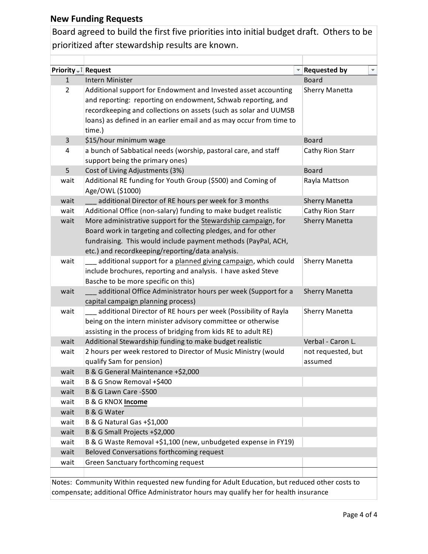## **New Funding Requests**

Board agreed to build the first five priorities into initial budget draft. Others to be prioritized after stewardship results are known.

| Priority - T Request |                                                                     | <b>Requested by</b><br>¥. |
|----------------------|---------------------------------------------------------------------|---------------------------|
| $\mathbf{1}$         | Intern Minister                                                     | <b>Board</b>              |
| $\overline{2}$       | Additional support for Endowment and Invested asset accounting      | <b>Sherry Manetta</b>     |
|                      | and reporting: reporting on endowment, Schwab reporting, and        |                           |
|                      | recordkeeping and collections on assets (such as solar and UUMSB    |                           |
|                      | loans) as defined in an earlier email and as may occur from time to |                           |
|                      | time.)                                                              |                           |
| 3                    | \$15/hour minimum wage                                              | <b>Board</b>              |
| 4                    | a bunch of Sabbatical needs (worship, pastoral care, and staff      | Cathy Rion Starr          |
|                      | support being the primary ones)                                     |                           |
| 5                    | Cost of Living Adjustments (3%)                                     | <b>Board</b>              |
| wait                 | Additional RE funding for Youth Group (\$500) and Coming of         | Rayla Mattson             |
|                      | Age/OWL (\$1000)                                                    |                           |
| wait                 | additional Director of RE hours per week for 3 months               | <b>Sherry Manetta</b>     |
| wait                 | Additional Office (non-salary) funding to make budget realistic     | Cathy Rion Starr          |
| wait                 | More administrative support for the Stewardship campaign, for       | <b>Sherry Manetta</b>     |
|                      | Board work in targeting and collecting pledges, and for other       |                           |
|                      | fundraising. This would include payment methods (PayPal, ACH,       |                           |
|                      | etc.) and recordkeeping/reporting/data analysis.                    |                           |
| wait                 | additional support for a planned giving campaign, which could       | <b>Sherry Manetta</b>     |
|                      | include brochures, reporting and analysis. I have asked Steve       |                           |
|                      | Basche to be more specific on this)                                 |                           |
| wait                 | additional Office Administrator hours per week (Support for a       | <b>Sherry Manetta</b>     |
|                      | capital campaign planning process)                                  |                           |
| wait                 | additional Director of RE hours per week (Possibility of Rayla      | <b>Sherry Manetta</b>     |
|                      | being on the intern minister advisory committee or otherwise        |                           |
|                      | assisting in the process of bridging from kids RE to adult RE)      |                           |
| wait                 | Additional Stewardship funding to make budget realistic             | Verbal - Caron L.         |
| wait                 | 2 hours per week restored to Director of Music Ministry (would      | not requested, but        |
|                      | qualify Sam for pension)                                            | assumed                   |
| wait                 | B & G General Maintenance +\$2,000                                  |                           |
| wait                 | B & G Snow Removal +\$400                                           |                           |
| wait                 | <b>B &amp; G Lawn Care -\$500</b>                                   |                           |
| wait                 | <b>B &amp; G KNOX Income</b>                                        |                           |
| wait                 | <b>B &amp; G Water</b>                                              |                           |
| wait                 | B & G Natural Gas +\$1,000                                          |                           |
| wait                 | B & G Small Projects +\$2,000                                       |                           |
| wait                 | B & G Waste Removal +\$1,100 (new, unbudgeted expense in FY19)      |                           |
| wait                 | Beloved Conversations forthcoming request                           |                           |
| wait                 | Green Sanctuary forthcoming request                                 |                           |
|                      |                                                                     |                           |

Notes: Community Within requested new funding for Adult Education, but reduced other costs to compensate; additional Office Administrator hours may qualify her for health insurance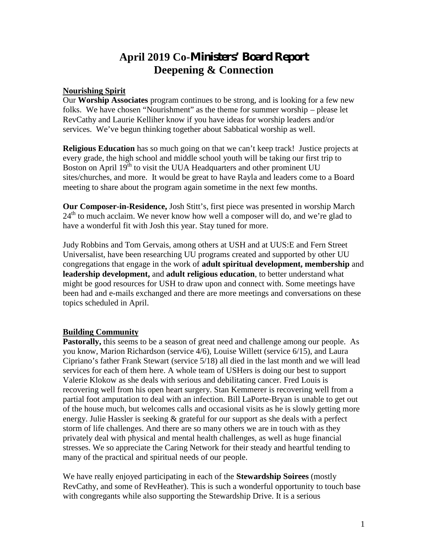# **April 2019 Co-Ministers' Board Report Deepening & Connection**

#### **Nourishing Spirit**

Our **Worship Associates** program continues to be strong, and is looking for a few new folks. We have chosen "Nourishment" as the theme for summer worship – please let RevCathy and Laurie Kelliher know if you have ideas for worship leaders and/or services. We've begun thinking together about Sabbatical worship as well.

**Religious Education** has so much going on that we can't keep track! Justice projects at every grade, the high school and middle school youth will be taking our first trip to Boston on April 19<sup>th</sup> to visit the UUA Headquarters and other prominent UU sites/churches, and more. It would be great to have Rayla and leaders come to a Board meeting to share about the program again sometime in the next few months.

**Our Composer-in-Residence,** Josh Stitt's, first piece was presented in worship March  $24<sup>th</sup>$  to much acclaim. We never know how well a composer will do, and we're glad to have a wonderful fit with Josh this year. Stay tuned for more.

Judy Robbins and Tom Gervais, among others at USH and at UUS:E and Fern Street Universalist, have been researching UU programs created and supported by other UU congregations that engage in the work of **adult spiritual development, membership** and **leadership development,** and **adult religious education**, to better understand what might be good resources for USH to draw upon and connect with. Some meetings have been had and e-mails exchanged and there are more meetings and conversations on these topics scheduled in April.

### **Building Community**

Pastorally, this seems to be a season of great need and challenge among our people. As you know, Marion Richardson (service 4/6), Louise Willett (service 6/15), and Laura Cipriano's father Frank Stewart (service 5/18) all died in the last month and we will lead services for each of them here. A whole team of USHers is doing our best to support Valerie Klokow as she deals with serious and debilitating cancer. Fred Louis is recovering well from his open heart surgery. Stan Kemmerer is recovering well from a partial foot amputation to deal with an infection. Bill LaPorte-Bryan is unable to get out of the house much, but welcomes calls and occasional visits as he is slowly getting more energy. Julie Hassler is seeking  $\&$  grateful for our support as she deals with a perfect storm of life challenges. And there are so many others we are in touch with as they privately deal with physical and mental health challenges, as well as huge financial stresses. We so appreciate the Caring Network for their steady and heartful tending to many of the practical and spiritual needs of our people.

We have really enjoyed participating in each of the **Stewardship Soirees** (mostly RevCathy, and some of RevHeather). This is such a wonderful opportunity to touch base with congregants while also supporting the Stewardship Drive. It is a serious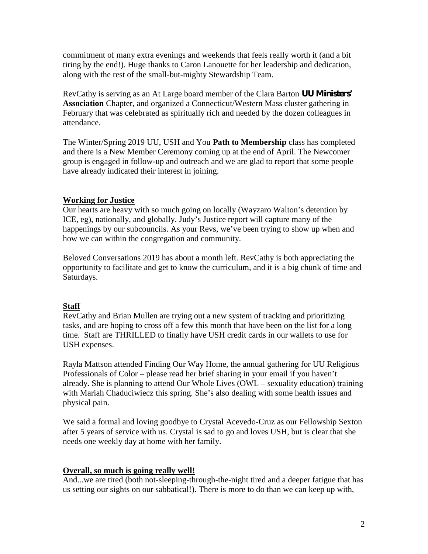commitment of many extra evenings and weekends that feels really worth it (and a bit tiring by the end!). Huge thanks to Caron Lanouette for her leadership and dedication, along with the rest of the small-but-mighty Stewardship Team.

RevCathy is serving as an At Large board member of the Clara Barton **UU Ministers' Association** Chapter, and organized a Connecticut/Western Mass cluster gathering in February that was celebrated as spiritually rich and needed by the dozen colleagues in attendance.

The Winter/Spring 2019 UU, USH and You **Path to Membership** class has completed and there is a New Member Ceremony coming up at the end of April. The Newcomer group is engaged in follow-up and outreach and we are glad to report that some people have already indicated their interest in joining.

### **Working for Justice**

Our hearts are heavy with so much going on locally (Wayzaro Walton's detention by ICE, eg), nationally, and globally. Judy's Justice report will capture many of the happenings by our subcouncils. As your Revs, we've been trying to show up when and how we can within the congregation and community.

Beloved Conversations 2019 has about a month left. RevCathy is both appreciating the opportunity to facilitate and get to know the curriculum, and it is a big chunk of time and Saturdays.

## **Staff**

RevCathy and Brian Mullen are trying out a new system of tracking and prioritizing tasks, and are hoping to cross off a few this month that have been on the list for a long time. Staff are THRILLED to finally have USH credit cards in our wallets to use for USH expenses.

Rayla Mattson attended Finding Our Way Home, the annual gathering for UU Religious Professionals of Color – please read her brief sharing in your email if you haven't already. She is planning to attend Our Whole Lives  $(OWL -$ sexuality education) training with Mariah Chaduciwiecz this spring. She's also dealing with some health issues and physical pain.

We said a formal and loving goodbye to Crystal Acevedo-Cruz as our Fellowship Sexton after 5 years of service with us. Crystal is sad to go and loves USH, but is clear that she needs one weekly day at home with her family.

## **Overall, so much is going really well!**

And...we are tired (both not-sleeping-through-the-night tired and a deeper fatigue that has us setting our sights on our sabbatical!). There is more to do than we can keep up with,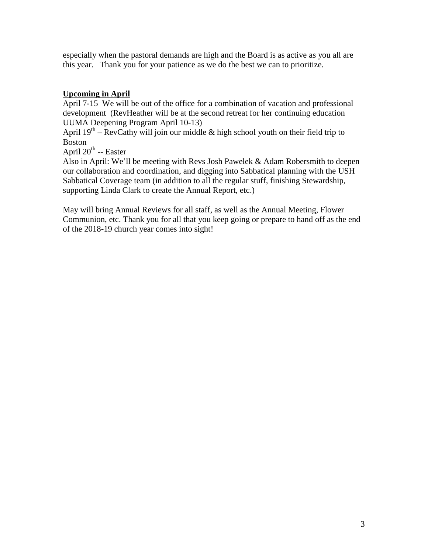especially when the pastoral demands are high and the Board is as active as you all are this year. Thank you for your patience as we do the best we can to prioritize.

## **Upcoming in April**

April 7-15 We will be out of the office for a combination of vacation and professional development (RevHeather will be at the second retreat for her continuing education UUMA Deepening Program April 10-13)

April  $19<sup>th</sup>$  – RevCathy will join our middle & high school youth on their field trip to Boston

April 20<sup>th</sup> -- Easter

Also in April: We'll be meeting with Revs Josh Pawelek & Adam Robersmith to deepen our collaboration and coordination, and digging into Sabbatical planning with the USH Sabbatical Coverage team (in addition to all the regular stuff, finishing Stewardship, supporting Linda Clark to create the Annual Report, etc.)

May will bring Annual Reviews for all staff, as well as the Annual Meeting, Flower Communion, etc. Thank you for all that you keep going or prepare to hand off as the end of the 2018-19 church year comes into sight!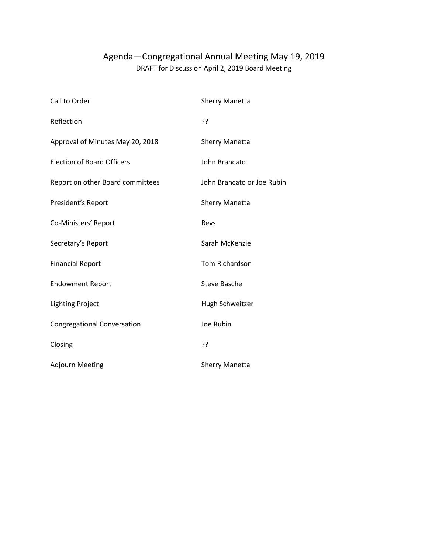# Agenda—Congregational Annual Meeting May 19, 2019 DRAFT for Discussion April 2, 2019 Board Meeting

| Call to Order                      | <b>Sherry Manetta</b>      |
|------------------------------------|----------------------------|
| Reflection                         | ??                         |
| Approval of Minutes May 20, 2018   | <b>Sherry Manetta</b>      |
| <b>Election of Board Officers</b>  | John Brancato              |
| Report on other Board committees   | John Brancato or Joe Rubin |
| President's Report                 | <b>Sherry Manetta</b>      |
| Co-Ministers' Report               | Revs                       |
| Secretary's Report                 | Sarah McKenzie             |
| <b>Financial Report</b>            | Tom Richardson             |
| <b>Endowment Report</b>            | <b>Steve Basche</b>        |
| <b>Lighting Project</b>            | Hugh Schweitzer            |
| <b>Congregational Conversation</b> | Joe Rubin                  |
| Closing                            | ??                         |
| <b>Adjourn Meeting</b>             | <b>Sherry Manetta</b>      |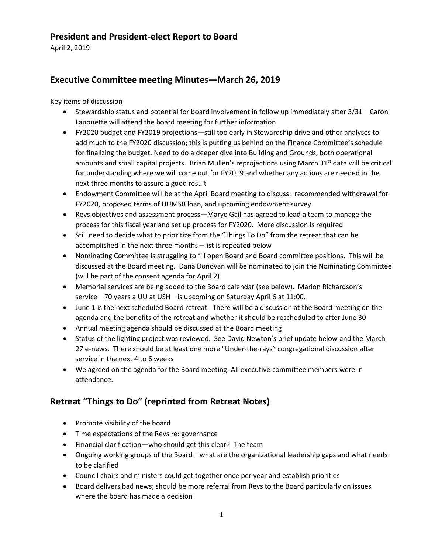## **President and President-elect Report to Board**

April 2, 2019

# **Executive Committee meeting Minutes—March 26, 2019**

Key items of discussion

- Stewardship status and potential for board involvement in follow up immediately after 3/31—Caron Lanouette will attend the board meeting for further information
- FY2020 budget and FY2019 projections—still too early in Stewardship drive and other analyses to add much to the FY2020 discussion; this is putting us behind on the Finance Committee's schedule for finalizing the budget. Need to do a deeper dive into Building and Grounds, both operational amounts and small capital projects. Brian Mullen's reprojections using March 31<sup>st</sup> data will be critical for understanding where we will come out for FY2019 and whether any actions are needed in the next three months to assure a good result
- Endowment Committee will be at the April Board meeting to discuss: recommended withdrawal for FY2020, proposed terms of UUMSB loan, and upcoming endowment survey
- Revs objectives and assessment process—Marye Gail has agreed to lead a team to manage the process for this fiscal year and set up process for FY2020. More discussion is required
- Still need to decide what to prioritize from the "Things To Do" from the retreat that can be accomplished in the next three months—list is repeated below
- Nominating Committee is struggling to fill open Board and Board committee positions. This will be discussed at the Board meeting. Dana Donovan will be nominated to join the Nominating Committee (will be part of the consent agenda for April 2)
- Memorial services are being added to the Board calendar (see below). Marion Richardson's service—70 years a UU at USH—is upcoming on Saturday April 6 at 11:00.
- June 1 is the next scheduled Board retreat. There will be a discussion at the Board meeting on the agenda and the benefits of the retreat and whether it should be rescheduled to after June 30
- Annual meeting agenda should be discussed at the Board meeting
- Status of the lighting project was reviewed. See David Newton's brief update below and the March 27 e-news. There should be at least one more "Under-the-rays" congregational discussion after service in the next 4 to 6 weeks
- We agreed on the agenda for the Board meeting. All executive committee members were in attendance.

# **Retreat "Things to Do" (reprinted from Retreat Notes)**

- Promote visibility of the board
- Time expectations of the Revs re: governance
- Financial clarification—who should get this clear? The team
- Ongoing working groups of the Board—what are the organizational leadership gaps and what needs to be clarified
- Council chairs and ministers could get together once per year and establish priorities
- Board delivers bad news; should be more referral from Revs to the Board particularly on issues where the board has made a decision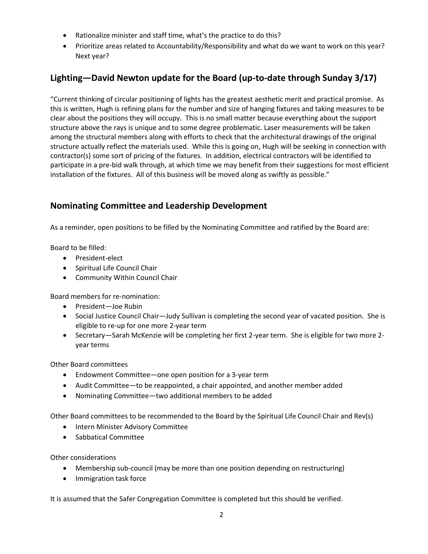- Rationalize minister and staff time, what's the practice to do this?
- Prioritize areas related to Accountability/Responsibility and what do we want to work on this year? Next year?

# **Lighting—David Newton update for the Board (up-to-date through Sunday 3/17)**

"Current thinking of circular positioning of lights has the greatest aesthetic merit and practical promise. As this is written, Hugh is refining plans for the number and size of hanging fixtures and taking measures to be clear about the positions they will occupy. This is no small matter because everything about the support structure above the rays is unique and to some degree problematic. Laser measurements will be taken among the structural members along with efforts to check that the architectural drawings of the original structure actually reflect the materials used. While this is going on, Hugh will be seeking in connection with contractor(s) some sort of pricing of the fixtures. In addition, electrical contractors will be identified to participate in a pre-bid walk through, at which time we may benefit from their suggestions for most efficient installation of the fixtures. All of this business will be moved along as swiftly as possible."

## **Nominating Committee and Leadership Development**

As a reminder, open positions to be filled by the Nominating Committee and ratified by the Board are:

Board to be filled:

- President-elect
- Spiritual Life Council Chair
- Community Within Council Chair

Board members for re-nomination:

- President—Joe Rubin
- Social Justice Council Chair—Judy Sullivan is completing the second year of vacated position. She is eligible to re-up for one more 2-year term
- Secretary—Sarah McKenzie will be completing her first 2-year term. She is eligible for two more 2 year terms

Other Board committees

- Endowment Committee—one open position for a 3-year term
- Audit Committee—to be reappointed, a chair appointed, and another member added
- Nominating Committee—two additional members to be added

Other Board committees to be recommended to the Board by the Spiritual Life Council Chair and Rev(s)

- Intern Minister Advisory Committee
- Sabbatical Committee

Other considerations

- Membership sub-council (may be more than one position depending on restructuring)
- Immigration task force

It is assumed that the Safer Congregation Committee is completed but this should be verified.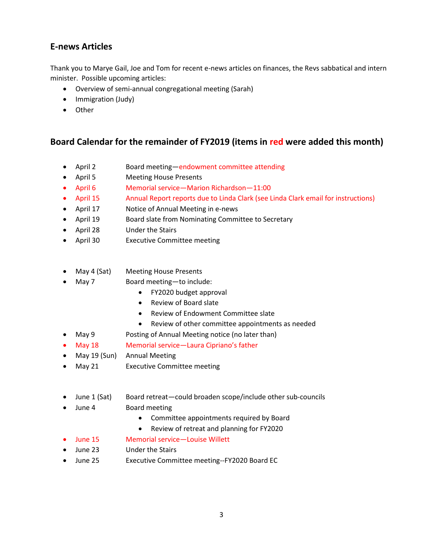## **E-news Articles**

Thank you to Marye Gail, Joe and Tom for recent e-news articles on finances, the Revs sabbatical and intern minister. Possible upcoming articles:

- Overview of semi-annual congregational meeting (Sarah)
- Immigration (Judy)
- Other

## **Board Calendar for the remainder of FY2019 (items in red were added this month)**

- April 2 Board meeting—endowment committee attending
- April 5 Meeting House Presents
- April 6 Memorial service—Marion Richardson—11:00
- April 15 Annual Report reports due to Linda Clark (see Linda Clark email for instructions)
- April 17 Notice of Annual Meeting in e-news
- April 19 Board slate from Nominating Committee to Secretary
- April 28 Under the Stairs
- April 30 Executive Committee meeting
- May 4 (Sat) Meeting House Presents
- May 7 Board meeting-to include:
	- FY2020 budget approval
	- Review of Board slate
	- Review of Endowment Committee slate
	- Review of other committee appointments as needed
	- May 9 Posting of Annual Meeting notice (no later than)
- May 18 Memorial service—Laura Cipriano's father
- May 19 (Sun) Annual Meeting
- May 21 Executive Committee meeting
- June 1 (Sat) Board retreat—could broaden scope/include other sub-councils
- June 4 Board meeting
	- Committee appointments required by Board
	- Review of retreat and planning for FY2020
	- June 15 Memorial service—Louise Willett
- June 23 Under the Stairs
- June 25 Executive Committee meeting--FY2020 Board EC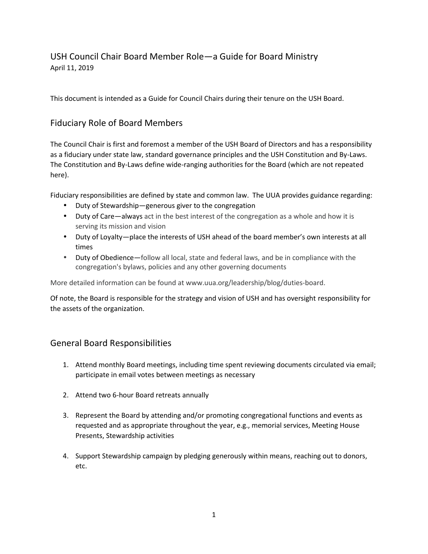# USH Council Chair Board Member Role—a Guide for Board Ministry April 11, 2019

This document is intended as a Guide for Council Chairs during their tenure on the USH Board.

## Fiduciary Role of Board Members

The Council Chair is first and foremost a member of the USH Board of Directors and has a responsibility as a fiduciary under state law, standard governance principles and the USH Constitution and By-Laws. The Constitution and By-Laws define wide-ranging authorities for the Board (which are not repeated here).

Fiduciary responsibilities are defined by state and common law. The UUA provides guidance regarding:

- Duty of Stewardship—generous giver to the congregation
- Duty of Care—always act in the best interest of the congregation as a whole and how it is serving its mission and vision
- Duty of Loyalty—place the interests of USH ahead of the board member's own interests at all times
- $\int$  Duty of Obedience—follow all local, state and federal laws, and be in compliance with the congregation's bylaws, policies and any other governing documents

More detailed information can be found at www.uua.org/leadership/blog/duties-board.

Of note, the Board is responsible for the strategy and vision of USH and has oversight responsibility for the assets of the organization.

## General Board Responsibilities

- 1. Attend monthly Board meetings, including time spent reviewing documents circulated via email; participate in email votes between meetings as necessary
- 2. Attend two 6-hour Board retreats annually
- 3. Represent the Board by attending and/or promoting congregational functions and events as requested and as appropriate throughout the year, e.g., memorial services, Meeting House Presents, Stewardship activities
- 4. Support Stewardship campaign by pledging generously within means, reaching out to donors, etc.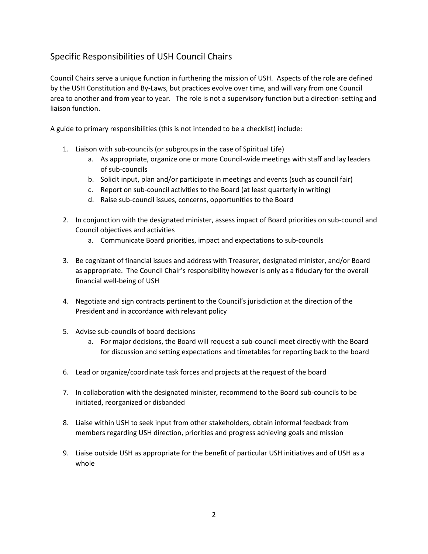# Specific Responsibilities of USH Council Chairs

Council Chairs serve a unique function in furthering the mission of USH. Aspects of the role are defined by the USH Constitution and By-Laws, but practices evolve over time, and will vary from one Council area to another and from year to year. The role is not a supervisory function but a direction-setting and liaison function.

A guide to primary responsibilities (this is not intended to be a checklist) include:

- 1. Liaison with sub-councils (or subgroups in the case of Spiritual Life)
	- a. As appropriate, organize one or more Council-wide meetings with staff and lay leaders of sub-councils
	- b. Solicit input, plan and/or participate in meetings and events (such as council fair)
	- c. Report on sub-council activities to the Board (at least quarterly in writing)
	- d. Raise sub-council issues, concerns, opportunities to the Board
- 2. In conjunction with the designated minister, assess impact of Board priorities on sub-council and Council objectives and activities
	- a. Communicate Board priorities, impact and expectations to sub-councils
- 3. Be cognizant of financial issues and address with Treasurer, designated minister, and/or Board as appropriate. The Council Chair's responsibility however is only as a fiduciary for the overall financial well-being of USH
- 4. Negotiate and sign contracts pertinent to the Council's jurisdiction at the direction of the President and in accordance with relevant policy
- 5. Advise sub-councils of board decisions
	- a. For major decisions, the Board will request a sub-council meet directly with the Board for discussion and setting expectations and timetables for reporting back to the board
- 6. Lead or organize/coordinate task forces and projects at the request of the board
- 7. In collaboration with the designated minister, recommend to the Board sub-councils to be initiated, reorganized or disbanded
- 8. Liaise within USH to seek input from other stakeholders, obtain informal feedback from members regarding USH direction, priorities and progress achieving goals and mission
- 9. Liaise outside USH as appropriate for the benefit of particular USH initiatives and of USH as a whole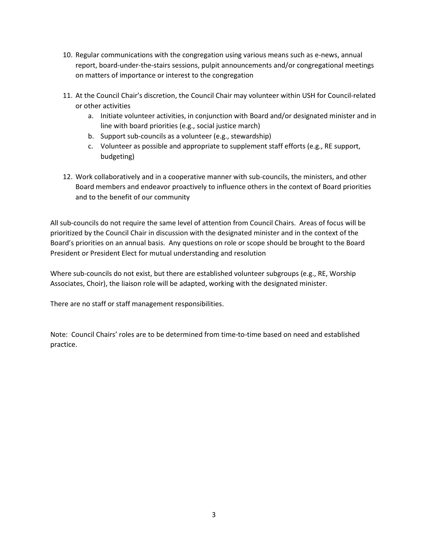- 10. Regular communications with the congregation using various means such as e-news, annual report, board-under-the-stairs sessions, pulpit announcements and/or congregational meetings on matters of importance or interest to the congregation
- 11. At the Council Chair's discretion, the Council Chair may volunteer within USH for Council-related or other activities
	- a. Initiate volunteer activities, in conjunction with Board and/or designated minister and in line with board priorities (e.g., social justice march)
	- b. Support sub-councils as a volunteer (e.g., stewardship)
	- c. Volunteer as possible and appropriate to supplement staff efforts (e.g., RE support, budgeting)
- 12. Work collaboratively and in a cooperative manner with sub-councils, the ministers, and other Board members and endeavor proactively to influence others in the context of Board priorities and to the benefit of our community

All sub-councils do not require the same level of attention from Council Chairs. Areas of focus will be prioritized by the Council Chair in discussion with the designated minister and in the context of the Board's priorities on an annual basis. Any questions on role or scope should be brought to the Board President or President Elect for mutual understanding and resolution

Where sub-councils do not exist, but there are established volunteer subgroups (e.g., RE, Worship Associates, Choir), the liaison role will be adapted, working with the designated minister.

There are no staff or staff management responsibilities.

Note: Council Chairs' roles are to be determined from time-to-time based on need and established practice.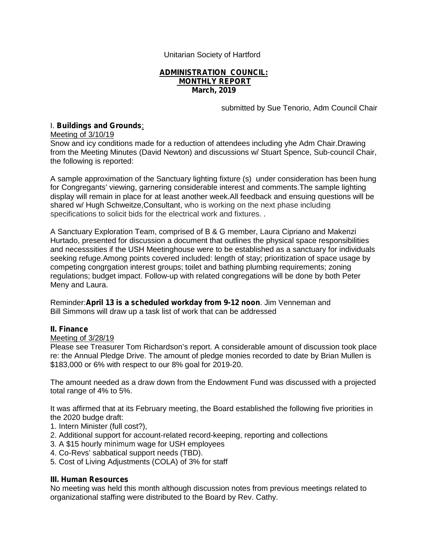Unitarian Society of Hartford

#### **ADMINISTRATION COUNCIL: MONTHLY REPORT March, 2019**

submitted by Sue Tenorio, Adm Council Chair

### I. **Buildings and Grounds**:

Meeting of 3/10/19

Snow and icy conditions made for a reduction of attendees including yhe Adm Chair.Drawing from the Meeting Minutes (David Newton) and discussions w/ Stuart Spence, Sub-council Chair, the following is reported:

A sample approximation of the Sanctuary lighting fixture (s) under consideration has been hung for Congregants' viewing, garnering considerable interest and comments.The sample lighting display will remain in place for at least another week.All feedback and ensuing questions will be shared w/ Hugh Schweitze,Consultant, who is working on the next phase including specifications to solicit bids for the electrical work and fixtures. .

A Sanctuary Exploration Team, comprised of B & G member, Laura Cipriano and Makenzi Hurtado, presented for discussion a document that outlines the physical space responsibilities and necesssities if the USH Meetinghouse were to be established as a sanctuary for individuals seeking refuge.Among points covered included: length of stay; prioritization of space usage by competing congrgation interest groups; toilet and bathing plumbing requirements; zoning regulations; budget impact. Follow-up with related congregations will be done by both Peter Meny and Laura.

Reminder:**April 13 is a scheduled workday from 9-12 noon**. Jim Venneman and Bill Simmons will draw up a task list of work that can be addressed

### **II. Finance**

#### Meeting of 3/28/19

Please see Treasurer Tom Richardson's report. A considerable amount of discussion took place re: the Annual Pledge Drive. The amount of pledge monies recorded to date by Brian Mullen is \$183,000 or 6% with respect to our 8% goal for 2019-20.

The amount needed as a draw down from the Endowment Fund was discussed with a projected total range of 4% to 5%.

It was affirmed that at its February meeting, the Board established the following five priorities in the 2020 budge draft:

- 1. Intern Minister (full cost?),
- 2. Additional support for account-related record-keeping, reporting and collections
- 3. A \$15 hourly *minimum* wage for USH employees
- 4. Co-Revs' sabbatical support needs (TBD).
- 5. Cost of Living Adjustments (COLA) of 3% for staff

### **III. Human Resources**

No meeting was held this month although discussion notes from previous meetings related to organizational staffing were distributed to the Board by Rev. Cathy.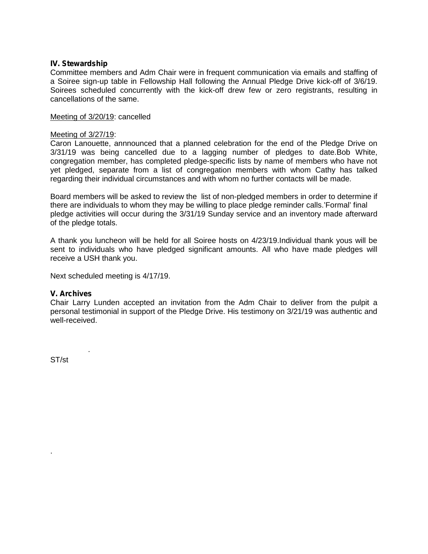#### **IV. Stewardship**

Committee members and Adm Chair were in frequent communication via emails and staffing of a Soiree sign-up table in Fellowship Hall following the Annual Pledge Drive kick-off of 3/6/19. Soirees scheduled concurrently with the kick-off drew few or zero registrants, resulting in cancellations of the same.

#### Meeting of 3/20/19: cancelled

#### Meeting of 3/27/19:

Caron Lanouette, annnounced that a planned celebration for the end of the Pledge Drive on 3/31/19 was being cancelled due to a lagging number of pledges to date.Bob White, congregation member, has completed pledge-specific lists by name of members who have not yet pledged, separate from a list of congregation members with whom Cathy has talked regarding their individual circumstances and with whom no further contacts will be made.

Board members will be asked to review the list of non-pledged members in order to determine if there are individuals to whom they may be willing to place pledge reminder calls.'Formal' final pledge activities will occur during the 3/31/19 Sunday service and an inventory made afterward of the pledge totals.

A thank you luncheon will be held for all Soiree hosts on 4/23/19.Individual thank yous will be sent to individuals who have pledged significant amounts. All who have made pledges will receive a USH thank you.

Next scheduled meeting is 4/17/19.

.

#### **V. Archives**

Chair Larry Lunden accepted an invitation from the Adm Chair to deliver from the pulpit a personal testimonial in support of the Pledge Drive. His testimony on 3/21/19 was authentic and well-received.

ST/st

.